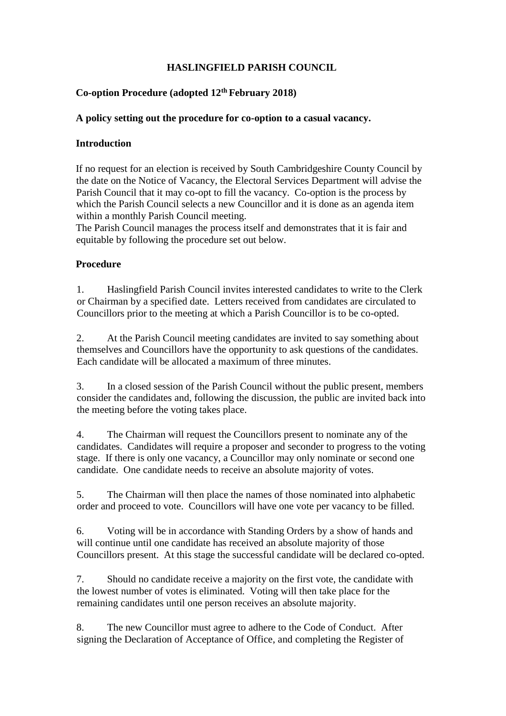# **HASLINGFIELD PARISH COUNCIL**

# **Co-option Procedure (adopted 12th February 2018)**

## **A policy setting out the procedure for co-option to a casual vacancy.**

## **Introduction**

If no request for an election is received by South Cambridgeshire County Council by the date on the Notice of Vacancy, the Electoral Services Department will advise the Parish Council that it may co-opt to fill the vacancy. Co-option is the process by which the Parish Council selects a new Councillor and it is done as an agenda item within a monthly Parish Council meeting.

The Parish Council manages the process itself and demonstrates that it is fair and equitable by following the procedure set out below.

## **Procedure**

1. Haslingfield Parish Council invites interested candidates to write to the Clerk or Chairman by a specified date. Letters received from candidates are circulated to Councillors prior to the meeting at which a Parish Councillor is to be co-opted.

2. At the Parish Council meeting candidates are invited to say something about themselves and Councillors have the opportunity to ask questions of the candidates. Each candidate will be allocated a maximum of three minutes.

3. In a closed session of the Parish Council without the public present, members consider the candidates and, following the discussion, the public are invited back into the meeting before the voting takes place.

4. The Chairman will request the Councillors present to nominate any of the candidates. Candidates will require a proposer and seconder to progress to the voting stage. If there is only one vacancy, a Councillor may only nominate or second one candidate. One candidate needs to receive an absolute majority of votes.

5. The Chairman will then place the names of those nominated into alphabetic order and proceed to vote. Councillors will have one vote per vacancy to be filled.

6. Voting will be in accordance with Standing Orders by a show of hands and will continue until one candidate has received an absolute majority of those Councillors present. At this stage the successful candidate will be declared co-opted.

7. Should no candidate receive a majority on the first vote, the candidate with the lowest number of votes is eliminated. Voting will then take place for the remaining candidates until one person receives an absolute majority.

8. The new Councillor must agree to adhere to the Code of Conduct. After signing the Declaration of Acceptance of Office, and completing the Register of